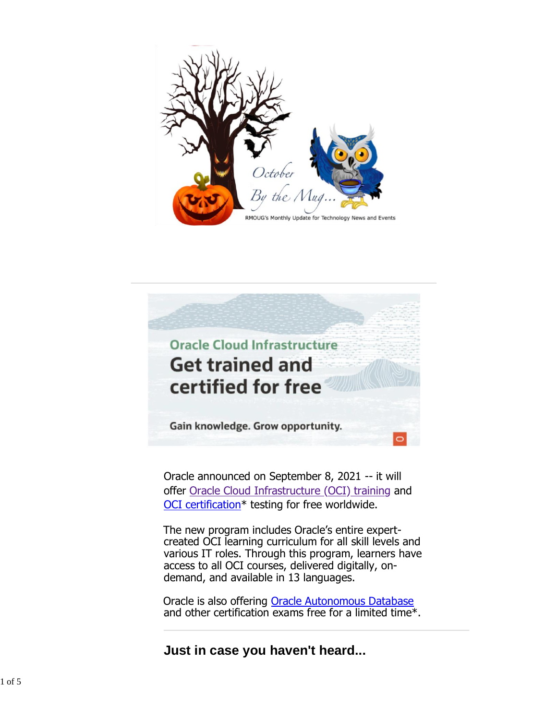



Oracle announced on September 8, 2021 -- it will offer [Oracle Cloud Infrastructure \(OCI\)](https://www.oracle.com/cloud/) [training](https://www.oracle.com/cloud/) and [OCI certification\\*](https://education.oracle.com/certification) testing for free worldwide.

The new program includes Oracle's entire expertcreated OCI learning curriculum for all skill levels and various IT roles. Through this program, learners have access to all OCI courses, delivered digitally, ondemand, and available in 13 languages.

Oracle is also offering [Oracle Autonomous Database](https://www.oracle.com/autonomous-database/) and other certification exams free for a limited time\*.

**Just in case you haven't heard...**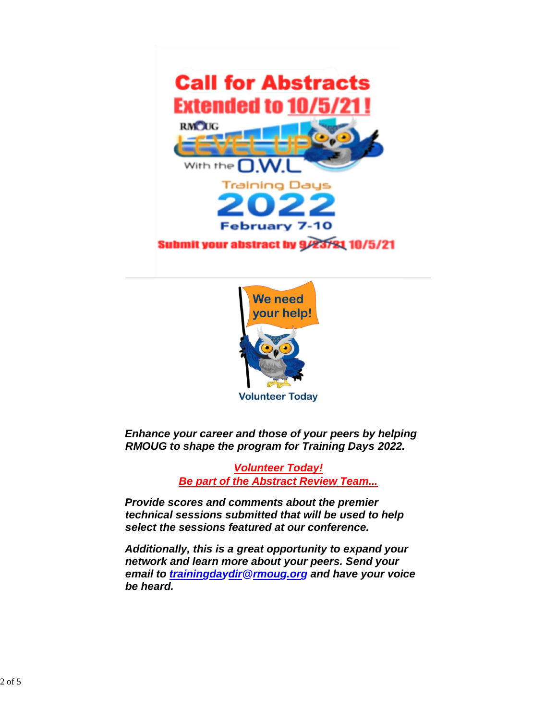



*Enhance your career and those of your peers by helping RMOUG to shape the program for Training Days 2022.*

> *Volunteer Today! Be part of the Abstract Review Team...*

*Provide scores and comments about the premier technical sessions submitted that will be used to help select the sessions featured at our conference.*

*Additionally, this is a great opportunity to expand your network and learn more about your peers. Send your email to trainingdaydir@rmoug.org and have your voice be heard.*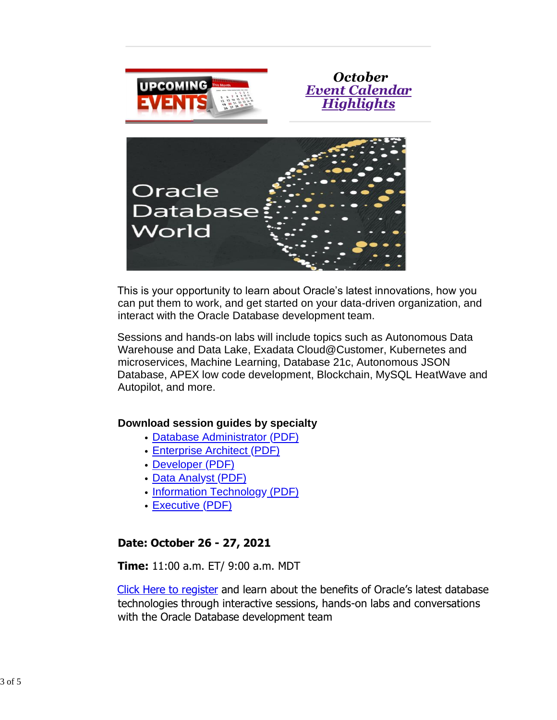





This is your opportunity to learn about Oracle's latest innovations, how you can put them to work, and get started on your data-driven organization, and interact with the Oracle Database development team.

Sessions and hands-on labs will include topics such as Autonomous Data Warehouse and Data Lake, Exadata Cloud@Customer, Kubernetes and microservices, Machine Learning, Database 21c, Autonomous JSON Database, APEX low code development, Blockchain, MySQL HeatWave and Autopilot, and more.

## **Download session guides by specialty**

- [Database Administrator \(PDF\)](https://www.oracle.com/a/ocom/docs/odbw-database-administrator-agenda.pdf)
- [Enterprise Architect \(PDF\)](https://www.oracle.com/a/ocom/docs/odbw-enterprise-architect-agenda.pdf)
- [Developer \(PDF\)](https://www.oracle.com/a/ocom/docs/odbw-developer-agenda.pdf)
- [Data Analyst \(PDF\)](https://www.oracle.com/a/ocom/docs/odbw-data-analyst-agenda.pdf)
- [Information Technology](https://www.oracle.com/a/ocom/docs/odbw-information-technology-agenda.pdf) [\(PDF\)](https://www.oracle.com/a/ocom/docs/odbw-information-technology-agenda.pdf)
- [Executive \(PDF\)](https://www.oracle.com/a/ocom/docs/odbw-executive-agenda.pdf)

## **Date: October 26 - 27, 2021**

**Time:** 11:00 a.m. ET/ 9:00 a.m. MDT

[Click Here to register](https://www.oracle.com/database/database-world/event/?source=%3Aem%3Aeo%3Aie%3Apt%3A%3A%3ARC_WWMK210812P00089%3ASEV400186106&elq_mid=203505&sh=1426091826081015163527252934&cmid=WWMK210812P00089) and learn about the benefits of Oracle's latest database technologies through interactive sessions, hands-on labs and conversations with the Oracle Database development team